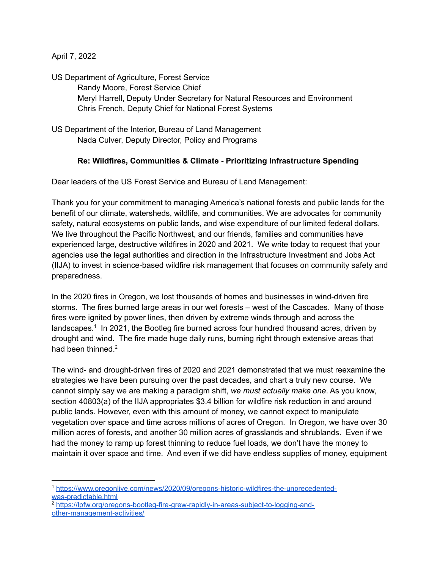April 7, 2022

US Department of Agriculture, Forest Service Randy Moore, Forest Service Chief Meryl Harrell, Deputy Under Secretary for Natural Resources and Environment Chris French, Deputy Chief for National Forest Systems

US Department of the Interior, Bureau of Land Management Nada Culver, Deputy Director, Policy and Programs

# **Re: Wildfires, Communities & Climate - Prioritizing Infrastructure Spending**

Dear leaders of the US Forest Service and Bureau of Land Management:

Thank you for your commitment to managing America's national forests and public lands for the benefit of our climate, watersheds, wildlife, and communities. We are advocates for community safety, natural ecosystems on public lands, and wise expenditure of our limited federal dollars. We live throughout the Pacific Northwest, and our friends, families and communities have experienced large, destructive wildfires in 2020 and 2021. We write today to request that your agencies use the legal authorities and direction in the Infrastructure Investment and Jobs Act (IIJA) to invest in science-based wildfire risk management that focuses on community safety and preparedness.

In the 2020 fires in Oregon, we lost thousands of homes and businesses in wind-driven fire storms. The fires burned large areas in our wet forests – west of the Cascades. Many of those fires were ignited by power lines, then driven by extreme winds through and across the landscapes.<sup>1</sup> In 2021, the Bootleg fire burned across four hundred thousand acres, driven by drought and wind. The fire made huge daily runs, burning right through extensive areas that had been thinned.<sup>2</sup>

The wind- and drought-driven fires of 2020 and 2021 demonstrated that we must reexamine the strategies we have been pursuing over the past decades, and chart a truly new course. We cannot simply say we are making a paradigm shift, *we must actually make one*. As you know, section 40803(a) of the IIJA appropriates \$3.4 billion for wildfire risk reduction in and around public lands. However, even with this amount of money, we cannot expect to manipulate vegetation over space and time across millions of acres of Oregon. In Oregon, we have over 30 million acres of forests, and another 30 million acres of grasslands and shrublands. Even if we had the money to ramp up forest thinning to reduce fuel loads, we don't have the money to maintain it over space and time. And even if we did have endless supplies of money, equipment

<sup>1</sup> [https://www.oregonlive.com/news/2020/09/oregons-historic-wildfires-the-unprecedented](https://www.oregonlive.com/news/2020/09/oregons-historic-wildfires-the-unprecedented-was-predictable.html)[was-predictable.html](https://www.oregonlive.com/news/2020/09/oregons-historic-wildfires-the-unprecedented-was-predictable.html)

<sup>2</sup> [https://lpfw.org/oregons-bootleg-fire-grew-rapidly-in-areas-subject-to-logging-and](https://lpfw.org/oregons-bootleg-fire-grew-rapidly-in-areas-subject-to-logging-and-other-management-activities/)[other-management-activities/](https://lpfw.org/oregons-bootleg-fire-grew-rapidly-in-areas-subject-to-logging-and-other-management-activities/)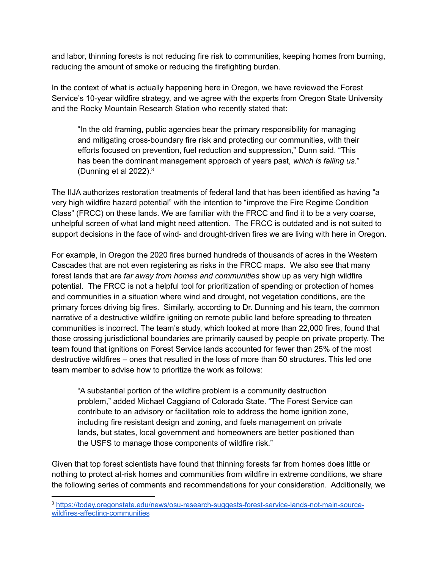and labor, thinning forests is not reducing fire risk to communities, keeping homes from burning, reducing the amount of smoke or reducing the firefighting burden.

In the context of what is actually happening here in Oregon, we have reviewed the Forest Service's 10-year wildfire strategy, and we agree with the experts from Oregon State University and the Rocky Mountain Research Station who recently stated that:

"In the old framing, public agencies bear the primary responsibility for managing and mitigating cross-boundary fire risk and protecting our communities, with their efforts focused on prevention, fuel reduction and suppression," Dunn said. "This has been the dominant management approach of years past, *which is failing us*." (Dunning et al 2022). $3$ 

The IIJA authorizes restoration treatments of federal land that has been identified as having "a very high wildfire hazard potential" with the intention to "improve the Fire Regime Condition Class" (FRCC) on these lands. We are familiar with the FRCC and find it to be a very coarse, unhelpful screen of what land might need attention. The FRCC is outdated and is not suited to support decisions in the face of wind- and drought-driven fires we are living with here in Oregon.

For example, in Oregon the 2020 fires burned hundreds of thousands of acres in the Western Cascades that are not even registering as risks in the FRCC maps. We also see that many forest lands that are *far away from homes and communities* show up as very high wildfire potential. The FRCC is not a helpful tool for prioritization of spending or protection of homes and communities in a situation where wind and drought, not vegetation conditions, are the primary forces driving big fires. Similarly, according to Dr. Dunning and his team, the common narrative of a destructive wildfire igniting on remote public land before spreading to threaten communities is incorrect. The team's study, which looked at more than 22,000 fires, found that those crossing jurisdictional boundaries are primarily caused by people on private property. The team found that ignitions on Forest Service lands accounted for fewer than 25% of the most destructive wildfires – ones that resulted in the loss of more than 50 structures. This led one team member to advise how to prioritize the work as follows:

"A substantial portion of the wildfire problem is a community destruction problem," added Michael Caggiano of Colorado State. "The Forest Service can contribute to an advisory or facilitation role to address the home ignition zone, including fire resistant design and zoning, and fuels management on private lands, but states, local government and homeowners are better positioned than the USFS to manage those components of wildfire risk."

Given that top forest scientists have found that thinning forests far from homes does little or nothing to protect at-risk homes and communities from wildfire in extreme conditions, we share the following series of comments and recommendations for your consideration. Additionally, we

<sup>3</sup> [https://today.oregonstate.edu/news/osu-research-suggests-forest-service-lands-not-main-source](https://today.oregonstate.edu/news/osu-research-suggests-forest-service-lands-not-main-source-wildfires-affecting-communities)[wildfires-affecting-communities](https://today.oregonstate.edu/news/osu-research-suggests-forest-service-lands-not-main-source-wildfires-affecting-communities)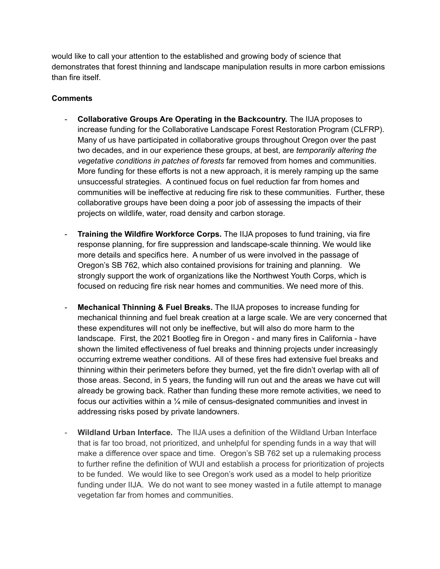would like to call your attention to the established and growing body of science that demonstrates that forest thinning and landscape manipulation results in more carbon emissions than fire itself.

## **Comments**

- **Collaborative Groups Are Operating in the Backcountry.** The IIJA proposes to increase funding for the Collaborative Landscape Forest Restoration Program (CLFRP). Many of us have participated in collaborative groups throughout Oregon over the past two decades, and in our experience these groups, at best, are *temporarily altering the vegetative conditions in patches of forests* far removed from homes and communities. More funding for these efforts is not a new approach, it is merely ramping up the same unsuccessful strategies. A continued focus on fuel reduction far from homes and communities will be ineffective at reducing fire risk to these communities. Further, these collaborative groups have been doing a poor job of assessing the impacts of their projects on wildlife, water, road density and carbon storage.
- **Training the Wildfire Workforce Corps.** The IIJA proposes to fund training, via fire response planning, for fire suppression and landscape-scale thinning. We would like more details and specifics here. A number of us were involved in the passage of Oregon's SB 762, which also contained provisions for training and planning. We strongly support the work of organizations like the Northwest Youth Corps, which is focused on reducing fire risk near homes and communities. We need more of this.
- **Mechanical Thinning & Fuel Breaks.** The IIJA proposes to increase funding for mechanical thinning and fuel break creation at a large scale. We are very concerned that these expenditures will not only be ineffective, but will also do more harm to the landscape. First, the 2021 Bootleg fire in Oregon - and many fires in California - have shown the limited effectiveness of fuel breaks and thinning projects under increasingly occurring extreme weather conditions. All of these fires had extensive fuel breaks and thinning within their perimeters before they burned, yet the fire didn't overlap with all of those areas. Second, in 5 years, the funding will run out and the areas we have cut will already be growing back. Rather than funding these more remote activities, we need to focus our activities within a ¼ mile of census-designated communities and invest in addressing risks posed by private landowners.
- **Wildland Urban Interface.** The IIJA uses a definition of the Wildland Urban Interface that is far too broad, not prioritized, and unhelpful for spending funds in a way that will make a difference over space and time. Oregon's SB 762 set up a rulemaking process to further refine the definition of WUI and establish a process for prioritization of projects to be funded. We would like to see Oregon's work used as a model to help prioritize funding under IIJA. We do not want to see money wasted in a futile attempt to manage vegetation far from homes and communities.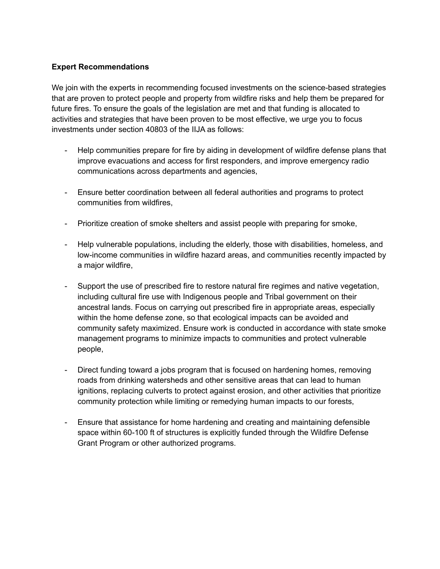## **Expert Recommendations**

We join with the experts in recommending focused investments on the science-based strategies that are proven to protect people and property from wildfire risks and help them be prepared for future fires. To ensure the goals of the legislation are met and that funding is allocated to activities and strategies that have been proven to be most effective, we urge you to focus investments under section 40803 of the IIJA as follows:

- Help communities prepare for fire by aiding in development of wildfire defense plans that improve evacuations and access for first responders, and improve emergency radio communications across departments and agencies,
- Ensure better coordination between all federal authorities and programs to protect communities from wildfires,
- Prioritize creation of smoke shelters and assist people with preparing for smoke,
- Help vulnerable populations, including the elderly, those with disabilities, homeless, and low-income communities in wildfire hazard areas, and communities recently impacted by a major wildfire,
- Support the use of prescribed fire to restore natural fire regimes and native vegetation, including cultural fire use with Indigenous people and Tribal government on their ancestral lands. Focus on carrying out prescribed fire in appropriate areas, especially within the home defense zone, so that ecological impacts can be avoided and community safety maximized. Ensure work is conducted in accordance with state smoke management programs to minimize impacts to communities and protect vulnerable people,
- Direct funding toward a jobs program that is focused on hardening homes, removing roads from drinking watersheds and other sensitive areas that can lead to human ignitions, replacing culverts to protect against erosion, and other activities that prioritize community protection while limiting or remedying human impacts to our forests,
- Ensure that assistance for home hardening and creating and maintaining defensible space within 60-100 ft of structures is explicitly funded through the Wildfire Defense Grant Program or other authorized programs.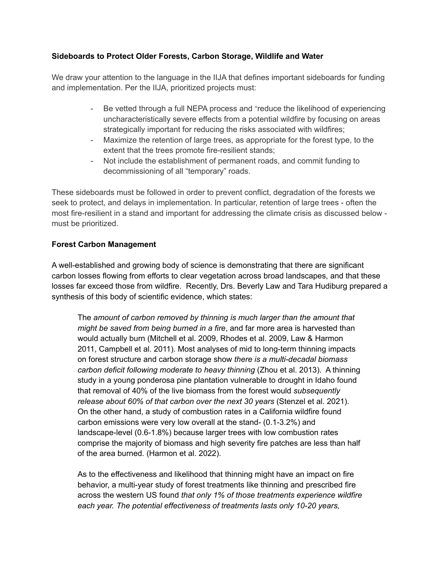# **Sideboards to Protect Older Forests, Carbon Storage, Wildlife and Water**

We draw your attention to the language in the IIJA that defines important sideboards for funding and implementation. Per the IIJA, prioritized projects must:

- Be vetted through a full NEPA process and "reduce the likelihood of experiencing uncharacteristically severe effects from a potential wildfire by focusing on areas strategically important for reducing the risks associated with wildfires;
- Maximize the retention of large trees, as appropriate for the forest type, to the extent that the trees promote fire-resilient stands;
- Not include the establishment of permanent roads, and commit funding to decommissioning of all "temporary" roads.

These sideboards must be followed in order to prevent conflict, degradation of the forests we seek to protect, and delays in implementation. In particular, retention of large trees - often the most fire-resilient in a stand and important for addressing the climate crisis as discussed below must be prioritized.

## **Forest Carbon Management**

A well-established and growing body of science is demonstrating that there are significant carbon losses flowing from efforts to clear vegetation across broad landscapes, and that these losses far exceed those from wildfire. Recently, Drs. Beverly Law and Tara Hudiburg prepared a synthesis of this body of scientific evidence, which states:

The *amount of carbon removed by thinning is much larger than the amount that might be saved from being burned in a fire*, and far more area is harvested than would actually burn (Mitchell et al. 2009, Rhodes et al. 2009, Law & Harmon 2011, Campbell et al. 2011). Most analyses of mid to long-term thinning impacts on forest structure and carbon storage show *there is a multi-decadal biomass carbon deficit following moderate to heavy thinning* (Zhou et al. 2013). A thinning study in a young ponderosa pine plantation vulnerable to drought in Idaho found that removal of 40% of the live biomass from the forest would *subsequently release about 60% of that carbon over the next 30 years* (Stenzel et al. 2021). On the other hand, a study of combustion rates in a California wildfire found carbon emissions were very low overall at the stand- (0.1-3.2%) and landscape-level (0.6-1.8%) because larger trees with low combustion rates comprise the majority of biomass and high severity fire patches are less than half of the area burned. (Harmon et al. 2022).

As to the effectiveness and likelihood that thinning might have an impact on fire behavior, a multi-year study of forest treatments like thinning and prescribed fire across the western US found *that only 1% of those treatments experience wildfire each year. The potential effectiveness of treatments lasts only 10-20 years,*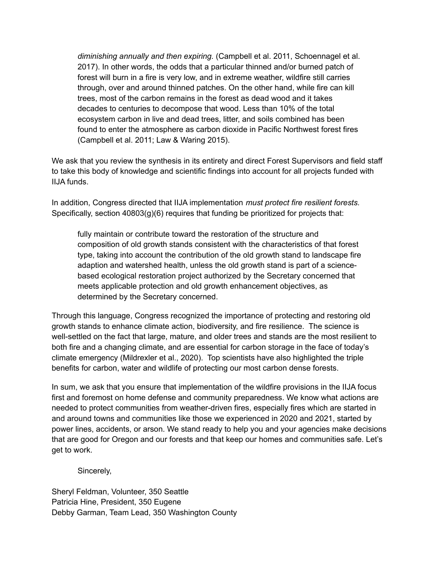*diminishing annually and then expiring.* (Campbell et al. 2011, Schoennagel et al. 2017). In other words, the odds that a particular thinned and/or burned patch of forest will burn in a fire is very low, and in extreme weather, wildfire still carries through, over and around thinned patches. On the other hand, while fire can kill trees, most of the carbon remains in the forest as dead wood and it takes decades to centuries to decompose that wood. Less than 10% of the total ecosystem carbon in live and dead trees, litter, and soils combined has been found to enter the atmosphere as carbon dioxide in Pacific Northwest forest fires (Campbell et al. 2011; Law & Waring 2015).

We ask that you review the synthesis in its entirety and direct Forest Supervisors and field staff to take this body of knowledge and scientific findings into account for all projects funded with IIJA funds.

In addition, Congress directed that IIJA implementation *must protect fire resilient forests.* Specifically, section 40803(g)(6) requires that funding be prioritized for projects that:

fully maintain or contribute toward the restoration of the structure and composition of old growth stands consistent with the characteristics of that forest type, taking into account the contribution of the old growth stand to landscape fire adaption and watershed health, unless the old growth stand is part of a sciencebased ecological restoration project authorized by the Secretary concerned that meets applicable protection and old growth enhancement objectives, as determined by the Secretary concerned.

Through this language, Congress recognized the importance of protecting and restoring old growth stands to enhance climate action, biodiversity, and fire resilience. The science is well-settled on the fact that large, mature, and older trees and stands are the most resilient to both fire and a changing climate, and are essential for carbon storage in the face of today's climate emergency (Mildrexler et al., 2020). Top scientists have also highlighted the triple benefits for carbon, water and wildlife of protecting our most carbon dense forests.

In sum, we ask that you ensure that implementation of the wildfire provisions in the IIJA focus first and foremost on home defense and community preparedness. We know what actions are needed to protect communities from weather-driven fires, especially fires which are started in and around towns and communities like those we experienced in 2020 and 2021, started by power lines, accidents, or arson. We stand ready to help you and your agencies make decisions that are good for Oregon and our forests and that keep our homes and communities safe. Let's get to work.

Sincerely,

Sheryl Feldman, Volunteer, 350 Seattle Patricia Hine, President, 350 Eugene Debby Garman, Team Lead, 350 Washington County